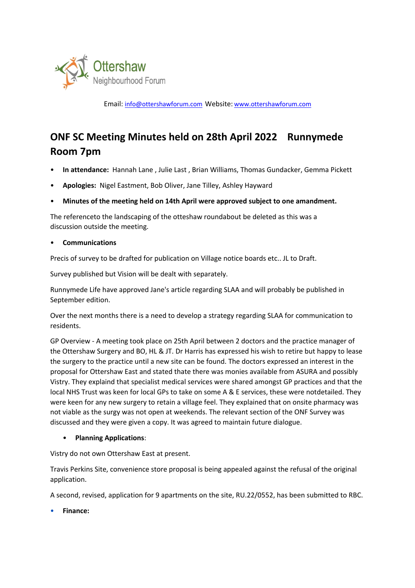

Email: info@ottershawforum.com Website: www.ottershawforum.com

# **ONF SC Meeting Minutes held on 28th April 2022 Runnymede Room 7pm**

- **In attendance:** Hannah Lane , Julie Last , Brian Williams, Thomas Gundacker, Gemma Pickett
- **Apologies:** Nigel Eastment, Bob Oliver, Jane Tilley, Ashley Hayward
- **Minutes of the meeting held on 14th April were approved subject to one amandment.**

The referenceto the landscaping of the otteshaw roundabout be deleted as this was a discussion outside the meeting.

#### • **Communications**

Precis of survey to be drafted for publication on Village notice boards etc.. JL to Draft.

Survey published but Vision will be dealt with separately.

Runnymede Life have approved Jane's article regarding SLAA and will probably be published in September edition.

Over the next months there is a need to develop a strategy regarding SLAA for communication to residents.

GP Overview - A meeting took place on 25th April between 2 doctors and the practice manager of the Ottershaw Surgery and BO, HL & JT. Dr Harris has expressed his wish to retire but happy to lease the surgery to the practice until a new site can be found. The doctors expressed an interest in the proposal for Ottershaw East and stated thate there was monies available from ASURA and possibly Vistry. They explaind that specialist medical services were shared amongst GP practices and that the local NHS Trust was keen for local GPs to take on some A & E services, these were notdetailed. They were keen for any new surgery to retain a village feel. They explained that on onsite pharmacy was not viable as the surgy was not open at weekends. The relevant section of the ONF Survey was discussed and they were given a copy. It was agreed to maintain future dialogue.

#### • **Planning Applications**:

Vistry do not own Ottershaw East at present.

Travis Perkins Site, convenience store proposal is being appealed against the refusal of the original application.

A second, revised, application for 9 apartments on the site, RU.22/0552, has been submitted to RBC.

• **Finance:**